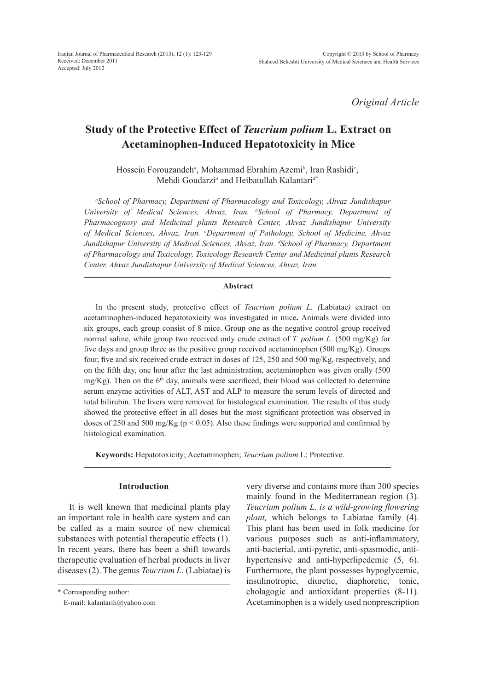*Original Article*

# **Study of the Protective Effect of** *Teucrium polium* **L. Extract on Acetaminophen-Induced Hepatotoxicity in Mice**

Hossein Forouzandeh*<sup>a</sup>* , Mohammad Ebrahim Azemi*<sup>b</sup>* , Iran Rashidi*<sup>c</sup>* , Mehdi Goudarzi*<sup>a</sup>* and Heibatullah Kalantari*d\**

*a School of Pharmacy, Department of Pharmacology and Toxicology, Ahvaz Jundishapur University of Medical Sciences, Ahvaz, Iran. b School of Pharmacy, Department of Pharmacognosy and Medicinal plants Research Center, Ahvaz Jundishapur University of Medical Sciences, Ahvaz, Iran. c Department of Pathology, School of Medicine, Ahvaz Jundishapur University of Medical Sciences, Ahvaz, Iran. d School of Pharmacy, Department of Pharmacology and Toxicology, Toxicology Research Center and Medicinal plants Research Center, Ahvaz Jundishapur University of Medical Sciences, Ahvaz, Iran.*

# **Abstract**

In the present study, protective effect of *Teucrium polium L. (*Labiatae*)* extract on acetaminophen-induced hepatotoxicity was investigated in mice**.** Animals were divided into six groups, each group consist of 8 mice. Group one as the negative control group received normal saline, while group two received only crude extract of *T. polium L.* (500 mg/Kg) for five days and group three as the positive group received acetaminophen (500 mg/Kg). Groups four, five and six received crude extract in doses of 125, 250 and 500 mg/Kg, respectively, and on the fifth day, one hour after the last administration, acetaminophen was given orally (500  $mg/Kg$ ). Then on the 6<sup>th</sup> day, animals were sacrificed, their blood was collected to determine serum enzyme activities of ALT, AST and ALP to measure the serum levels of directed and total bilirubin. The livers were removed for histological examination. The results of this study showed the protective effect in all doses but the most significant protection was observed in doses of 250 and 500 mg/Kg ( $p < 0.05$ ). Also these findings were supported and confirmed by histological examination.

**Keywords:** Hepatotoxicity; Acetaminophen; *Teucrium polium* L; Protective.

# **Introduction**

It is well known that medicinal plants play an important role in health care system and can be called as a main source of new chemical substances with potential therapeutic effects (1). In recent years, there has been a shift towards therapeutic evaluation of herbal products in liver diseases (2). The genus *Teucrium L*. (Labiatae) is very diverse and contains more than 300 species mainly found in the Mediterranean region (3). *Teucrium polium L. is a wild-growing flowering plant,* which belongs to Labiatae family (4). This plant has been used in folk medicine for various purposes such as anti-inflammatory, anti-bacterial, anti-pyretic, anti-spasmodic, antihypertensive and anti-hyperlipedemic  $(5, 6)$ . Furthermore, the plant possesses hypoglycemic, insulinotropic, diuretic, diaphoretic, tonic, cholagogic and antioxidant properties (8-11). Acetaminophen is a widely used nonprescription

<sup>\*</sup> Corresponding author:

E-mail: kalantarih@yahoo.com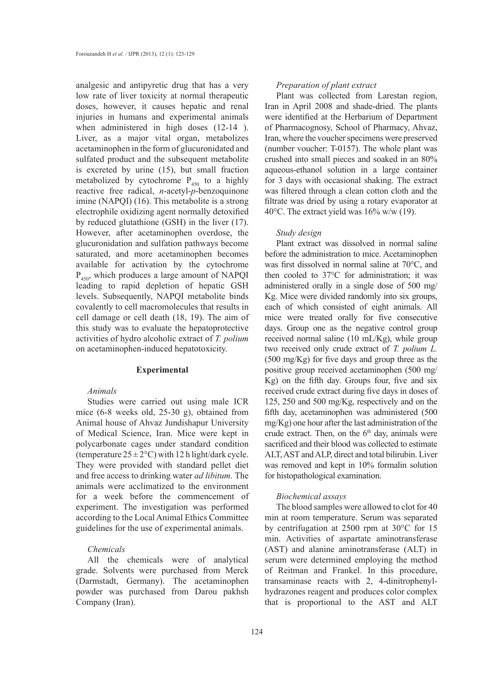analgesic and antipyretic drug that has a very low rate of liver toxicity at normal therapeutic doses, however, it causes hepatic and renal injuries in humans and experimental animals when administered in high doses  $(12-14)$ . Liver, as a major vital organ, metabolizes acetaminophen in the form of glucuronidated and sulfated product and the subsequent metabolite is excreted by urine (15), but small fraction metabolized by cytochrome  $P_{450}$  to a highly reactive free radical, *n*-acetyl-*p*-benzoquinone imine (NAPQI) (16). This metabolite is a strong electrophile oxidizing agent normally detoxified by reduced glutathione (GSH) in the liver (17). However, after acetaminophen overdose, the glucuronidation and sulfation pathways become saturated, and more acetaminophen becomes available for activation by the cytochrome  $P_{450}$ , which produces a large amount of NAPQI leading to rapid depletion of hepatic GSH levels. Subsequently, NAPQI metabolite binds covalently to cell macromolecules that results in cell damage or cell death (18, 19). The aim of this study was to evaluate the hepatoprotective activities of hydro alcoholic extract of *T. polium*  on acetaminophen-induced hepatotoxicity.

## **Experimental**

# *Animals*

Studies were carried out using male ICR mice (6-8 weeks old, 25-30 g), obtained from Animal house of Ahvaz Jundishapur University of Medical Science, Iran. Mice were kept in polycarbonate cages under standard condition (temperature  $25 \pm 2$ °C) with 12 h light/dark cycle. They were provided with standard pellet diet and free access to drinking water *ad libitum.* The animals were acclimatized to the environment for a week before the commencement of experiment. The investigation was performed according to the Local Animal Ethics Committee guidelines for the use of experimental animals.

# *Chemicals*

All the chemicals were of analytical grade. Solvents were purchased from Merck (Darmstadt, Germany). The acetaminophen powder was purchased from Darou pakhsh Company (Iran).

#### *Preparation of plant extract*

Plant was collected from Larestan region, Iran in April 2008 and shade-dried. The plants were identified at the Herbarium of Department of Pharmacognosy, School of Pharmacy, Ahvaz, Iran, where the voucher specimens were preserved (number voucher: T-0157). The whole plant was crushed into small pieces and soaked in an 80% aqueous-ethanol solution in a large container for 3 days with occasional shaking. The extract was filtered through a clean cotton cloth and the filtrate was dried by using a rotary evaporator at 40°C. The extract yield was 16% w/w (19).

#### *Study design*

Plant extract was dissolved in normal saline before the administration to mice. Acetaminophen was first dissolved in normal saline at 70°C, and then cooled to 37°C for administration; it was administered orally in a single dose of 500 mg/ Kg. Mice were divided randomly into six groups, each of which consisted of eight animals. All mice were treated orally for five consecutive days. Group one as the negative control group received normal saline (10 mL/Kg), while group two received only crude extract of *T. polium L.* (500 mg/Kg) for five days and group three as the positive group received acetaminophen (500 mg/ Kg) on the fifth day. Groups four, five and six received crude extract during five days in doses of 125, 250 and 500 mg/Kg, respectively and on the fifth day, acetaminophen was administered (500 mg/Kg) one hour after the last administration of the crude extract. Then, on the  $6<sup>th</sup>$  day, animals were sacrificed and their blood was collected to estimate ALT, AST and ALP, direct and total bilirubin. Liver was removed and kept in 10% formalin solution for histopathological examination.

#### *Biochemical assays*

The blood samples were allowed to clot for 40 min at room temperature. Serum was separated by centrifugation at 2500 rpm at 30°C for 15 min. Activities of aspartate aminotransferase (AST) and alanine aminotransferase (ALT) in serum were determined employing the method of Reitman and Frankel. In this procedure, transaminase reacts with 2, 4-dinitrophenylhydrazones reagent and produces color complex that is proportional to the AST and ALT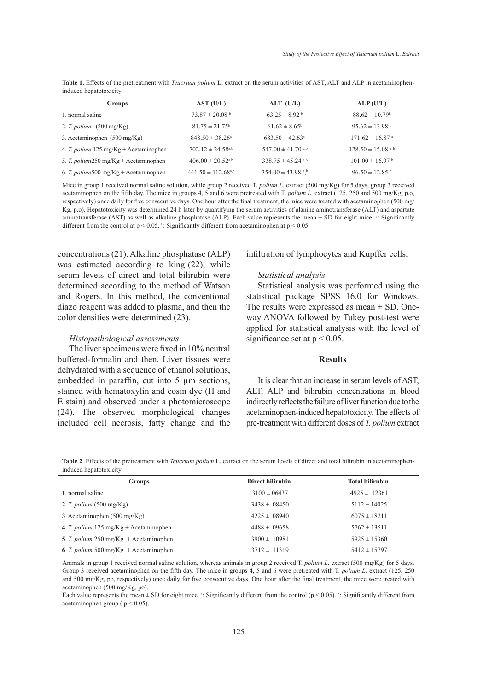| induced hepatotoxicity.                                                                                                                          |  |  |
|--------------------------------------------------------------------------------------------------------------------------------------------------|--|--|
| <b>Table 1.</b> Effects of the pretreatment with <i>Teucrium polium</i> L, extract on the serum activities of AST, ALT and ALP in acetaminophen- |  |  |

| <b>Groups</b>                                           | AST (U/L)                         | $ALT$ (U/L)                      | ALP(U/L)                         |
|---------------------------------------------------------|-----------------------------------|----------------------------------|----------------------------------|
| 1. normal saline                                        | $73.87 \pm 20.08$ <sup>b</sup>    | $63.25 \pm 8.92$ <sup>b</sup>    | $88.62 \pm 10.79$ <sup>b</sup>   |
| 2. T. polium $(500 \text{ mg/Kg})$                      | $81.75 \pm 21.75^{\circ}$         | $61.62 \pm 8.65^b$               | $95.62 \pm 13.98$ <sup>b</sup>   |
| 3. Acetaminophen $(500 \text{ mg/Kg})$                  | $848.50 \pm 38.26^{\circ}$        | $683.50 \pm 42.63$ <sup>a,</sup> | $171.62 \pm 16.87$ <sup>a</sup>  |
| 4. T. polium $125 \text{ mg/Kg} + \text{Acetaminophen}$ | $702.12 \pm 24.58^{a,b}$          | 547.00 $\pm$ 41.70 a,b           | $128.50 \pm 15.08$ <sup>ab</sup> |
| 5. T. polium250 mg/Kg + Acetaminophen                   | $406.00 \pm 20.52$ <sup>a,b</sup> | $338.75 \pm 45.24$ a,b           | $101.00 \pm 16.97$ <sup>b</sup>  |
| 6. T. polium 500 mg/Kg + Acetaminophen                  | $441.50 \pm 112.68^{a,b}$         | $354.00 \pm 43.98$ <sup>ab</sup> | $96.50 \pm 12.85$ <sup>b</sup>   |

Mice in group 1 received normal saline solution, while group 2 received T. polium L. extract (500 mg/Kg) for 5 days, group 3 received acetaminophen on the fifth day. The mice in groups 4, 5 and 6 were pretreated with T. *polium L.* extract (125, 250 and 500 mg/Kg, p.o, respectively) once daily for five consecutive days. One hour after the final treatment, the mice were treated with acetaminophen (500 mg/ Kg, p.o). Hepatotoxicity was determined 24 h later by quantifying the serum activities of alanine aminotransferase (ALT) and aspartate aminotransferase (AST) as well as alkaline phosphatase (ALP). Each value represents the mean  $\pm$  SD for eight mice.  $\pm$ : Significantly different from the control at  $p < 0.05$ . b. Significantly different from acetaminophen at  $p < 0.05$ .

concentrations (21). Alkaline phosphatase (ALP) was estimated according to king (22), while serum levels of direct and total bilirubin were determined according to the method of Watson and Rogers. In this method, the conventional diazo reagent was added to plasma, and then the color densities were determined (23).

#### *Histopathological assessments*

The liver specimens were fixed in 10% neutral buffered-formalin and then, Liver tissues were dehydrated with a sequence of ethanol solutions, embedded in paraffin, cut into 5  $\mu$ m sections, stained with hematoxylin and eosin dye (H and E stain) and observed under a photomicroscope (24). The observed morphological changes included cell necrosis, fatty change and the infiltration of lymphocytes and Kupffer cells.

#### *Statistical analysis*

Statistical analysis was performed using the statistical package SPSS 16.0 for Windows. The results were expressed as mean  $\pm$  SD. Oneway ANOVA followed by Tukey post-test were applied for statistical analysis with the level of significance set at  $p < 0.05$ .

# **Results**

It is clear that an increase in serum levels of AST, ALT, ALP and bilirubin concentrations in blood indirectly reflects the failure of liver function due to the acetaminophen-induced hepatotoxicity. The effects of pre-treatment with different doses of *T. polium* extract

**Table 2** .Effects of the pretreatment with *Teucrium polium* L. extract on the serum levels of direct and total bilirubin in acetaminopheninduced hepatotoxicity.

| <b>Groups</b>                             | Direct bilirubin   | <b>Total bilirubin</b> |
|-------------------------------------------|--------------------|------------------------|
| 1. normal saline                          | $.3100 \pm 06437$  | $.4925 \pm .12361$     |
| 2. T. polium $(500 \text{ mg/Kg})$        | $.3438 \pm .08450$ | $.5112 \pm .14025$     |
| 3. Acetaminophen $(500 \text{ mg/Kg})$    | $.4225 \pm .08940$ | $.6075 \pm .18211$     |
| 4. T. polium 125 mg/ $Kg + Acetaminophen$ | $.4488 \pm .09658$ | $.5762 \pm .13511$     |
| 5. T. polium 250 mg/Kg + Acetaminophen    | $.3900 \pm .10981$ | $.5925 \pm 15360$      |
| 6. T. polium 500 mg/Kg + Acetaminophen    | $.3712 \pm .11319$ | $.5412 \pm 0.15797$    |

Animals in group 1 received normal saline solution, whereas animals in group 2 received T. *polium L.* extract (500 mg/Kg) for 5 days. Group 3 received acetaminophen on the fifth day. The mice in groups 4, 5 and 6 were pretreated with T. *polium L.* extract (125, 250 and 500 mg/Kg, po, respectively) once daily for five consecutive days. One hour after the final treatment, the mice were treated with acetaminophen (500 mg/Kg, po).

Each value represents the mean  $\pm$  SD for eight mice. <sup>a</sup>: Significantly different from the control ( $p$  < 0.05). <sup>b</sup>: Significantly different from acetaminophen group ( $p < 0.05$ ).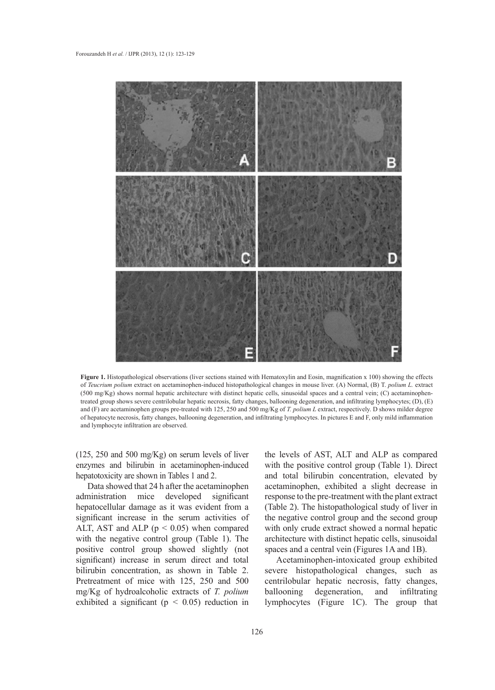

**Figure 1.** Histopathological observations (liver sections stained with Hematoxylin and Eosin, magnification x 100) showing the effects of *Teucrium polium* extract on acetaminophen-induced histopathological changes in mouse liver. (A) Normal, (B) T. *polium L.* extract (500 mg/Kg) shows normal hepatic architecture with distinct hepatic cells, sinusoidal spaces and a central vein; (C) acetaminophentreated group shows severe centrilobular hepatic necrosis, fatty changes, ballooning degeneration, and infiltrating lymphocytes; (D), (E) and (F) are acetaminophen groups pre-treated with 125, 250 and 500 mg/Kg of *T. polium L* extract, respectively. D shows milder degree of hepatocyte necrosis, fatty changes, ballooning degeneration, and infiltrating lymphocytes. In pictures E and F, only mild inflammation and lymphocyte infiltration are observed.

(125, 250 and 500 mg/Kg) on serum levels of liver enzymes and bilirubin in acetaminophen-induced hepatotoxicity are shown in Tables 1 and 2.

Data showed that 24 h after the acetaminophen administration mice developed significant hepatocellular damage as it was evident from a significant increase in the serum activities of ALT, AST and ALP ( $p < 0.05$ ) when compared with the negative control group (Table 1). The positive control group showed slightly (not significant) increase in serum direct and total bilirubin concentration, as shown in Table 2. Pretreatment of mice with 125, 250 and 500 mg/Kg of hydroalcoholic extracts of *T. polium* exhibited a significant ( $p < 0.05$ ) reduction in

the levels of AST, ALT and ALP as compared with the positive control group (Table 1). Direct and total bilirubin concentration, elevated by acetaminophen, exhibited a slight decrease in response to the pre-treatment with the plant extract (Table 2). The histopathological study of liver in the negative control group and the second group with only crude extract showed a normal hepatic architecture with distinct hepatic cells, sinusoidal spaces and a central vein (Figures 1A and 1B).

Acetaminophen-intoxicated group exhibited severe histopathological changes, such as centrilobular hepatic necrosis, fatty changes, ballooning degeneration, and infiltrating lymphocytes (Figure 1C). The group that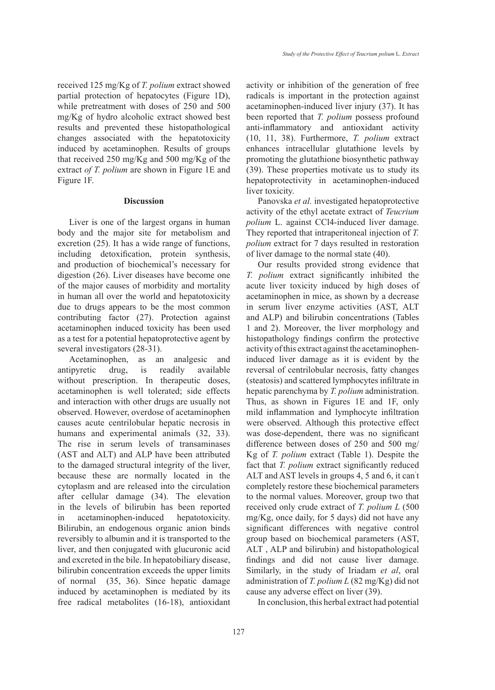received 125 mg/Kg of *T. polium* extract showed partial protection of hepatocytes (Figure 1D), while pretreatment with doses of 250 and 500 mg/Kg of hydro alcoholic extract showed best results and prevented these histopathological

changes associated with the hepatotoxicity induced by acetaminophen. Results of groups that received 250 mg/Kg and 500 mg/Kg of the extract *of T. polium* are shown in Figure 1E and Figure 1F.

# **Discussion**

Liver is one of the largest organs in human body and the major site for metabolism and excretion (25). It has a wide range of functions, including detoxification, protein synthesis, and production of biochemical's necessary for digestion (26). Liver diseases have become one of the major causes of morbidity and mortality in human all over the world and hepatotoxicity due to drugs appears to be the most common contributing factor (27). Protection against acetaminophen induced toxicity has been used as a test for a potential hepatoprotective agent by several investigators (28-31).

Acetaminophen, as an analgesic and antipyretic drug, is readily available without prescription. In therapeutic doses, acetaminophen is well tolerated; side effects and interaction with other drugs are usually not observed. However, overdose of acetaminophen causes acute centrilobular hepatic necrosis in humans and experimental animals  $(32, 33)$ . The rise in serum levels of transaminases (AST and ALT) and ALP have been attributed to the damaged structural integrity of the liver, because these are normally located in the cytoplasm and are released into the circulation after cellular damage (34). The elevation in the levels of bilirubin has been reported in acetaminophen-induced hepatotoxicity. Bilirubin, an endogenous organic anion binds reversibly to albumin and it is transported to the liver, and then conjugated with glucuronic acid and excreted in the bile. In hepatobiliary disease, bilirubin concentration exceeds the upper limits of normal (35, 36). Since hepatic damage induced by acetaminophen is mediated by its free radical metabolites (16-18), antioxidant activity or inhibition of the generation of free radicals is important in the protection against acetaminophen-induced liver injury (37). It has been reported that *T. polium* possess profound anti-inflammatory and antioxidant activity (10, 11, 38). Furthermore, *T. polium* extract enhances intracellular glutathione levels by promoting the glutathione biosynthetic pathway (39). These properties motivate us to study its hepatoprotectivity in acetaminophen-induced liver toxicity.

Panovska *et al.* investigated hepatoprotective activity of the ethyl acetate extract of *Teucrium polium* L. against CCl4-induced liver damage. They reported that intraperitoneal injection of *T. polium* extract for 7 days resulted in restoration of liver damage to the normal state (40).

Our results provided strong evidence that *T. polium* extract significantly inhibited the acute liver toxicity induced by high doses of acetaminophen in mice, as shown by a decrease in serum liver enzyme activities (AST, ALT and ALP) and bilirubin concentrations (Tables 1 and 2). Moreover, the liver morphology and histopathology findings confirm the protective activity of this extract against the acetaminopheninduced liver damage as it is evident by the reversal of centrilobular necrosis, fatty changes (steatosis) and scattered lymphocytes infiltrate in hepatic parenchyma by *T. polium* administration. Thus, as shown in Figures 1E and 1F, only mild inflammation and lymphocyte infiltration were observed. Although this protective effect was dose-dependent, there was no significant difference between doses of 250 and 500 mg/ Kg of *T. polium* extract (Table 1). Despite the fact that *T. polium* extract significantly reduced ALT and AST levels in groups 4, 5 and 6, it can' t completely restore these biochemical parameters to the normal values. Moreover, group two that received only crude extract of *T. polium L* (500 mg/Kg, once daily, for 5 days) did not have any significant differences with negative control group based on biochemical parameters (AST, ALT , ALP and bilirubin) and histopathological findings and did not cause liver damage. Similarly, in the study of Iriadam *et al*, oral administration of *T. polium L* (82 mg/Kg) did not cause any adverse effect on liver (39).

In conclusion, this herbal extract had potential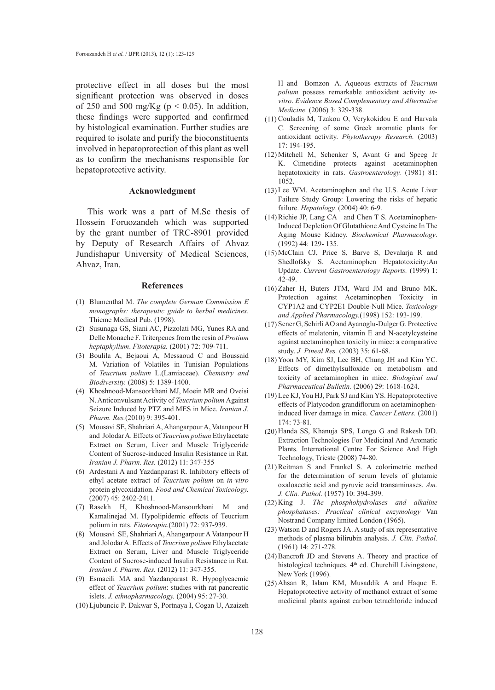protective effect in all doses but the most significant protection was observed in doses of 250 and 500 mg/Kg ( $p < 0.05$ ). In addition, these findings were supported and confirmed by histological examination. Further studies are required to isolate and purify the bioconstituents involved in hepatoprotection of this plant as well as to confirm the mechanisms responsible for hepatoprotective activity.

#### **Acknowledgment**

This work was a part of M.Sc thesis of Hossein Foruozandeh which was supported by the grant number of TRC-8901 provided by Deputy of Research Affairs of Ahvaz Jundishapur University of Medical Sciences, Ahvaz, Iran.

#### **References**

- Blumenthal M. *The complete German Commission E*  (1) *monographs: therapeutic guide to herbal medicines*. Thieme Medical Pub. (1998).
- (2) Susunaga GS, Siani AC, Pizzolati MG, Yunes RA and Delle Monache F. Triterpenes from the resin of *Protium heptaphyllum*. *Fitoterapia.* (2001) 72: 709-711.
- Boulila A, Bejaoui A, Messaoud C and Boussaid (3) M. Variation of Volatiles in Tunisian Populations of *Teucrium polium* L.(Lamiaceae). *Chemistry and Biodiversity.* (2008) 5: 1389-1400.
- (4) Khoshnood-Mansoorkhani MJ, Moein MR and Oveisi N. Anticonvulsant Activity of *Teucrium polium* Against Seizure Induced by PTZ and MES in Mice. *Iranian J. Pharm. Res.*(2010) 9: 395-401.
- Mousavi SE, Shahriari A, Ahangarpour A, Vatanpour H (5) and Jolodar A. Effects of *Teucrium polium* Ethylacetate Extract on Serum, Liver and Muscle Triglyceride Content of Sucrose-induced Insulin Resistance in Rat. *Iranian J. Pharm. Res.* (2012) 11: 347-355
- Ardestani A and Yazdanparast R. Inhibitory effects of (6) ethyl acetate extract of *Teucrium polium* on *in-vitro* protein glycoxidation. *Food and Chemical Toxicology.* (2007) 45: 2402-2411.
- Rasekh H, Khoshnood-Mansourkhani M and (7) Kamalinejad M. Hypolipidemic effects of Teucrium polium in rats. *Fitoterapia.*(2001) 72: 937-939.
- Mousavi SE, Shahriari A, Ahangarpour A Vatanpour H (8) and Jolodar A. Effects of *Teucrium polium* Ethylacetate Extract on Serum, Liver and Muscle Triglyceride Content of Sucrose-induced Insulin Resistance in Rat. *Iranian J. Pharm. Res.* (2012) 11: 347-355.
- Esmaeili MA and Yazdanparast R. Hypoglycaemic (9) effect of *Teucrium polium*: studies with rat pancreatic islets. *J. ethnopharmacology.* (2004) 95: 27-30.
- Ljubuncic P*,* Dakwar S, Portnaya I, Cogan U, Azaizeh (10)

H and Bomzon A*.* Aqueous extracts of *Teucrium polium* possess remarkable antioxidant activity *invitro*. *Evidence Based Complementary and Alternative Medicine.* (2006) 3: 329-338.

- $(11)$  Couladis M, Tzakou O, Verykokidou E and Harvala C. Screening of some Greek aromatic plants for antioxidant activity. *Phytotherapy Research.* (2003) 17: 194-195.
- Mitchell M, Schenker S, Avant G and Speeg Jr (12) K. Cimetidine protects against acetaminophen hepatotoxicity in rats. *Gastroenterology.* (1981) 81: 1052.
- $(13)$  Lee WM. Acetaminophen and the U.S. Acute Liver Failure Study Group: Lowering the risks of hepatic failure. *Hepatology.* (2004) 40: 6-9.
- $(14)$  Richie JP, Lang CA and Chen T S. Acetaminophen-Induced Depletion Of Glutathione And Cysteine In The Aging Mouse Kidney. *Biochemical Pharmacology*. (1992) 44: 129- 135.
- McClain CJ, Price S, Barve S, Devalarja R and (15) Shedlofsky S. Acetaminophen Hepatotoxicity:An Update. *Current Gastroenterology Reports.* (1999) 1: 42-49.
- $(16)$  Zaher H, Buters JTM, Ward JM and Bruno MK. Protection against Acetaminophen Toxicity in CYP1A2 and CYP2E1 Double-Null Mice. *Toxicology and Applied Pharmacology.*(1998) 152: 193-199.
- Sener G, Sehirli AO and Ayanoglu-Dulger G. Protective (17) effects of melatonin, vitamin E and N-acetylcysteine against acetaminophen toxicity in mice: a comparative study. *J. Pineal Res.* (2003) 35: 61-68.
- (18) Yoon MY, Kim SJ, Lee BH, Chung JH and Kim YC. Effects of dimethylsulfoxide on metabolism and toxicity of acetaminophen in mice. *Biological and Pharmaceutical Bulletin.* (2006) 29: 1618-1624.
- (19) Lee KJ, You HJ, Park SJ and Kim YS. Hepatoprotective effects of Platycodon grandiflorum on acetaminopheninduced liver damage in mice. *Cancer Letters.* (2001) 174: 73-81.
- (20) Handa SS, Khanuja SPS, Longo G and Rakesh DD. Extraction Technologies For Medicinal And Aromatic Plants. International Centre For Science And High Technology, Trieste (2008) 74-80.
- $(21)$  Reitman S and Frankel S. A colorimetric method for the determination of serum levels of glutamic oxaloacetic acid and pyruvic acid transaminases. *Am. J. Clin. Pathol.* (1957) 10: 394-399.
- (22) King J. *The phosphohydrolases and alkaline phosphatases: Practical clinical enzymology* Van Nostrand Company limited London (1965).
- Watson D and Rogers JA. A study of six representative (23) methods of plasma bilirubin analysis. *J. Clin. Pathol.*  (1961) 14: 271-278.
- (24) Bancroft JD and Stevens A. Theory and practice of histological techniques.  $4<sup>th</sup>$  ed. Churchill Livingstone, New York (1996).
- $(25)$  Ahsan R, Islam KM, Musaddik A and Haque E. Hepatoprotective activity of methanol extract of some medicinal plants against carbon tetrachloride induced